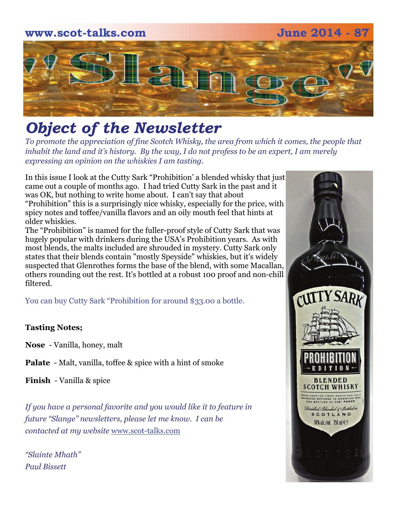

# *Object of the Newsletter*

*To promote the appreciation of fine Scotch Whisky, the area from which it comes, the people that inhabit the land and it's history. By the way, I do not profess to be an expert, I am merely expressing an opinion on the whiskies I am tasting.* 

In this issue I look at the Cutty Sark "Prohibition' a blended whisky that just came out a couple of months ago. I had tried Cutty Sark in the past and it was OK, but nothing to write home about. I can't say that about "Prohibition" this is a surprisingly nice whisky, especially for the price, with spicy notes and toffee/vanilla flavors and an oily mouth feel that hints at older whiskies.

The "Prohibition" is named for the fuller-proof style of Cutty Sark that was hugely popular with drinkers during the USA's Prohibition years. As with most blends, the malts included are shrouded in mystery. Cutty Sark only states that their blends contain "mostly Speyside" whiskies, but it's widely suspected that Glenrothes forms the base of the blend, with some Macallan, others rounding out the rest. It's bottled at a robust 100 proof and non-chill filtered.

You can buy Cutty Sark "Prohibition for around \$33.00 a bottle.

#### **Tasting Notes;**

**Nose** - Vanilla, honey, malt

**Palate** - Malt, vanilla, toffee & spice with a hint of smoke

**Finish** - Vanilla & spice

*If you have a personal favorite and you would like it to feature in future "Slange" newsletters, please let me know. I can be contacted at my website* [www.scot-talks.com](http://www.scot-talks.com/default.html)

*"Slainte Mhath" Paul Bissett*

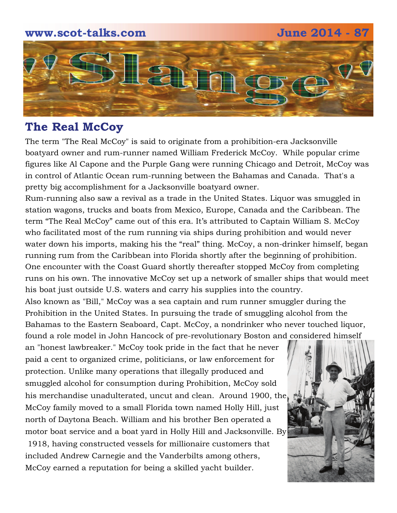### **www.scot-talks.com June 2014 - 87**



## **The Real McCoy**

The term "The Real McCoy" is said to originate from a prohibition-era Jacksonville boatyard owner and rum-runner named William Frederick McCoy. While popular crime figures like Al Capone and the Purple Gang were running Chicago and Detroit, McCoy was in control of Atlantic Ocean rum-running between the Bahamas and Canada. That's a pretty big accomplishment for a Jacksonville boatyard owner.

Rum-running also saw a revival as a trade in the United States. Liquor was smuggled in station wagons, trucks and boats from Mexico, Europe, Canada and the Caribbean. The term "The Real McCoy" came out of this era. It's attributed to Captain William S. McCoy who facilitated most of the rum running via ships during prohibition and would never water down his imports, making his the "real" thing. McCoy, a non-drinker himself, began running rum from the Caribbean into Florida shortly after the beginning of prohibition. One encounter with the Coast Guard shortly thereafter stopped McCoy from completing runs on his own. The innovative McCoy set up a network of smaller ships that would meet his boat just outside U.S. waters and carry his supplies into the country.

Also known as "Bill," McCoy was a sea captain and rum runner smuggler during the Prohibition in the United States. In pursuing the trade of smuggling alcohol from the Bahamas to the Eastern Seaboard, Capt. McCoy, a nondrinker who never touched liquor, found a role model in John Hancock of pre-revolutionary Boston and considered himself

an "honest lawbreaker." McCoy took pride in the fact that he never paid a cent to organized crime, politicians, or law enforcement for protection. Unlike many operations that illegally produced and smuggled alcohol for consumption during Prohibition, McCoy sold his merchandise unadulterated, uncut and clean. Around 1900, the McCoy family moved to a small Florida town named Holly Hill, just north of Daytona Beach. William and his brother Ben operated a motor boat service and a boat yard in Holly Hill and Jacksonville. By 1918, having constructed vessels for millionaire customers that

included Andrew Carnegie and the Vanderbilts among others, McCoy earned a reputation for being a skilled yacht builder.

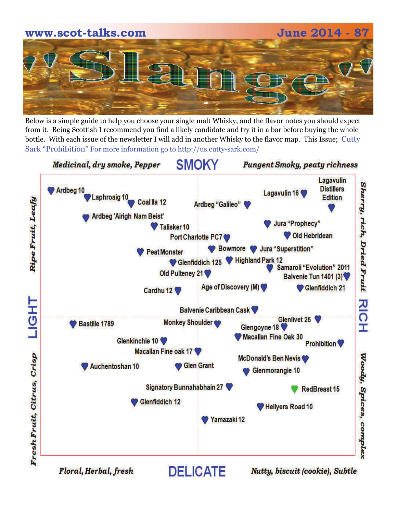# **www.scot-talks.com June 2014 - 87**

Below is a simple guide to help you choose your single malt Whisky, and the flavor notes you should expect from it. Being Scottish I recommend you find a likely candidate and try it in a bar before buying the whole bottle. With each issue of the newsletter I will add in another Whisky to the flavor map. This Issue; Cutty Sark "Prohibition" For more information go to http://us.cutty-sark.com/



Floral, Herbal, fresh

Nutty, biscuit (cookie), Subtle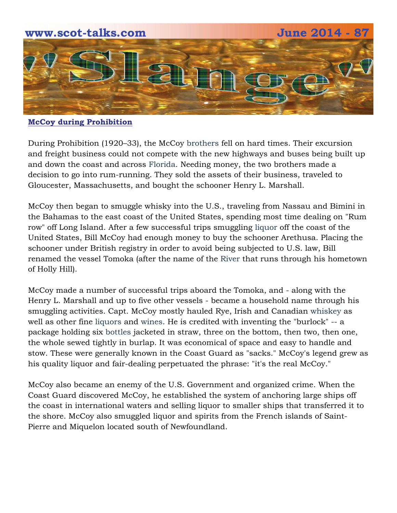

**McCoy during Prohibition**

During Prohibition (1920–33), the McCoy [brothers](http://www.rantlifestyle.com/2014/01/23/20-fictional-bars-awesome-drink/?utm_medium=referral&utm_source=LinkSmart) fell on hard times. Their excursion and freight business could not compete with the new highways and buses being built up and down the coast and across [Florida](http://liquor.com/slideshows/toast-boardwalk-empire-season-4). Needing money, the two brothers made a decision to go into rum-running. They sold the assets of their business, traveled to Gloucester, Massachusetts, and bought the schooner Henry L. Marshall.

McCoy then began to smuggle whisky into the U.S., traveling from Nassau and Bimini in the Bahamas to the east coast of the United States, spending most time dealing on "Rum row" off Long Island. After a few successful trips smuggling [liquor](http://www.rantlifestyle.com/2014/01/23/20-fictional-bars-awesome-drink/?utm_medium=referral&utm_source=LinkSmart) off the coast of the United States, Bill McCoy had enough money to buy the schooner Arethusa. Placing the schooner under British registry in order to avoid being subjected to U.S. law, Bill renamed the vessel Tomoka (after the name of the [River](http://running.competitor.com/2010/07/features/celebrate-in-chicago_11737) that runs through his hometown of Holly Hill).

McCoy made a number of successful trips aboard the Tomoka, and - along with the Henry L. Marshall and up to five other vessels - became a household name through his smuggling activities. Capt. McCoy mostly hauled Rye, Irish and Canadian [whiskey](http://liquor.com/articles/best-bars-in-chicago) as well as other fine [liquors](http://www.rantlifestyle.com/2014/01/23/20-fictional-bars-awesome-drink/?utm_medium=referral&utm_source=LinkSmart) and [wines](http://liquor.com/articles/best-bars-in-chicago). He is credited with inventing the "burlock" -- a package holding six [bottles](http://liquor.com/slideshows/toast-boardwalk-empire-season-4) jacketed in straw, three on the bottom, then two, then one, the whole sewed tightly in burlap. It was economical of space and easy to handle and stow. These were generally known in the Coast Guard as "sacks." McCoy's legend grew as his quality liquor and fair-dealing perpetuated the phrase: "it's the real McCoy."

McCoy also became an enemy of the U.S. Government and organized crime. When the Coast Guard discovered McCoy, he established the system of anchoring large ships off the coast in international waters and selling liquor to smaller ships that transferred it to the shore. McCoy also smuggled liquor and spirits from the French islands of Saint-Pierre and Miquelon located south of Newfoundland.